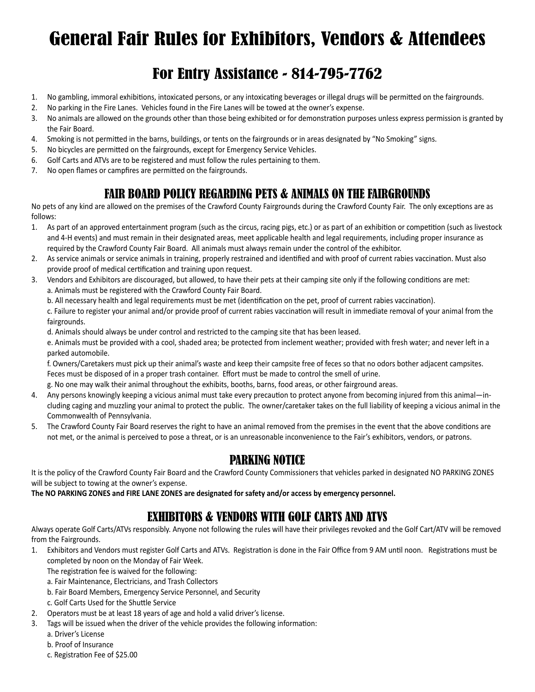# General Fair Rules for Exhibitors, Vendors & Attendees

# For Entry Assistance - 814-795-7762

- 1. No gambling, immoral exhibitions, intoxicated persons, or any intoxicating beverages or illegal drugs will be permitted on the fairgrounds.
- 2. No parking in the Fire Lanes. Vehicles found in the Fire Lanes will be towed at the owner's expense.
- 3. No animals are allowed on the grounds other than those being exhibited or for demonstration purposes unless express permission is granted by the Fair Board.
- 4. Smoking is not permitted in the barns, buildings, or tents on the fairgrounds or in areas designated by "No Smoking" signs.
- 5. No bicycles are permitted on the fairgrounds, except for Emergency Service Vehicles.
- 6. Golf Carts and ATVs are to be registered and must follow the rules pertaining to them.
- 7. No open flames or campfires are permitted on the fairgrounds.

# FAIR BOARD POLICY REGARDING PETS & ANIMALS ON THE FAIRGROUNDS

No pets of any kind are allowed on the premises of the Crawford County Fairgrounds during the Crawford County Fair. The only exceptions are as follows:

- 1. As part of an approved entertainment program (such as the circus, racing pigs, etc.) or as part of an exhibition or competition (such as livestock and 4-H events) and must remain in their designated areas, meet applicable health and legal requirements, including proper insurance as required by the Crawford County Fair Board. All animals must always remain under the control of the exhibitor.
- 2. As service animals or service animals in training, properly restrained and identified and with proof of current rabies vaccination. Must also provide proof of medical certification and training upon request.
- 3. Vendors and Exhibitors are discouraged, but allowed, to have their pets at their camping site only if the following conditions are met: a. Animals must be registered with the Crawford County Fair Board.
	- b. All necessary health and legal requirements must be met (identification on the pet, proof of current rabies vaccination).

c. Failure to register your animal and/or provide proof of current rabies vaccination will result in immediate removal of your animal from the fairgrounds.

d. Animals should always be under control and restricted to the camping site that has been leased.

e. Animals must be provided with a cool, shaded area; be protected from inclement weather; provided with fresh water; and never left in a parked automobile.

f. Owners/Caretakers must pick up their animal's waste and keep their campsite free of feces so that no odors bother adjacent campsites. Feces must be disposed of in a proper trash container. Effort must be made to control the smell of urine.

- g. No one may walk their animal throughout the exhibits, booths, barns, food areas, or other fairground areas.
- 4. Any persons knowingly keeping a vicious animal must take every precaution to protect anyone from becoming injured from this animal—including caging and muzzling your animal to protect the public. The owner/caretaker takes on the full liability of keeping a vicious animal in the Commonwealth of Pennsylvania.
- 5. The Crawford County Fair Board reserves the right to have an animal removed from the premises in the event that the above conditions are not met, or the animal is perceived to pose a threat, or is an unreasonable inconvenience to the Fair's exhibitors, vendors, or patrons.

### PARKING NOTICE

It is the policy of the Crawford County Fair Board and the Crawford County Commissioners that vehicles parked in designated NO PARKING ZONES will be subject to towing at the owner's expense.

**The NO PARKING ZONES and FIRE LANE ZONES are designated for safety and/or access by emergency personnel.**

# EXHIBITORS & VENDORS WITH GOLF CARTS AND ATVS

Always operate Golf Carts/ATVs responsibly. Anyone not following the rules will have their privileges revoked and the Golf Cart/ATV will be removed from the Fairgrounds.

1. Exhibitors and Vendors must register Golf Carts and ATVs. Registration is done in the Fair Office from 9 AM until noon. Registrations must be completed by noon on the Monday of Fair Week.

The registration fee is waived for the following:

- a. Fair Maintenance, Electricians, and Trash Collectors
- b. Fair Board Members, Emergency Service Personnel, and Security
- c. Golf Carts Used for the Shuttle Service
- 2. Operators must be at least 18 years of age and hold a valid driver's license.
- 3. Tags will be issued when the driver of the vehicle provides the following information:
	- a. Driver's License
	- b. Proof of Insurance
	- c. Registration Fee of \$25.00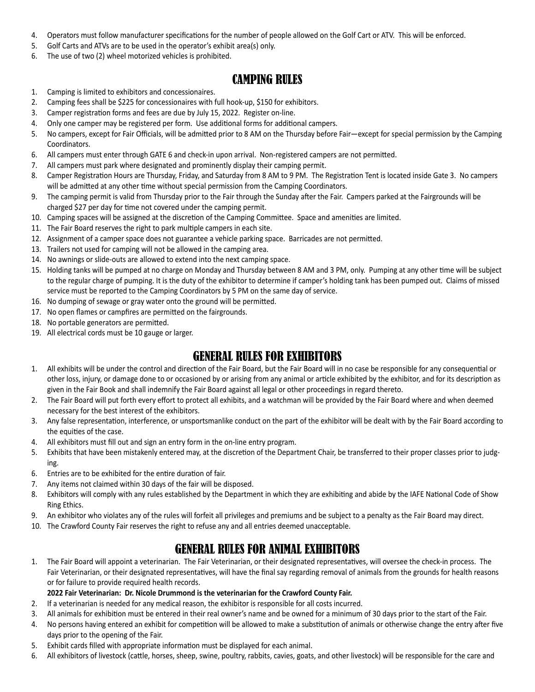- 4. Operators must follow manufacturer specifications for the number of people allowed on the Golf Cart or ATV. This will be enforced.
- 5. Golf Carts and ATVs are to be used in the operator's exhibit area(s) only.
- 6. The use of two (2) wheel motorized vehicles is prohibited.

# CAMPING RULES

- 1. Camping is limited to exhibitors and concessionaires.
- 2. Camping fees shall be \$225 for concessionaires with full hook-up, \$150 for exhibitors.
- 3. Camper registration forms and fees are due by July 15, 2022. Register on-line.
- 4. Only one camper may be registered per form. Use additional forms for additional campers.
- 5. No campers, except for Fair Officials, will be admitted prior to 8 AM on the Thursday before Fair—except for special permission by the Camping Coordinators.
- 6. All campers must enter through GATE 6 and check-in upon arrival. Non-registered campers are not permitted.
- 7. All campers must park where designated and prominently display their camping permit.
- 8. Camper Registration Hours are Thursday, Friday, and Saturday from 8 AM to 9 PM. The Registration Tent is located inside Gate 3. No campers will be admitted at any other time without special permission from the Camping Coordinators.
- 9. The camping permit is valid from Thursday prior to the Fair through the Sunday after the Fair. Campers parked at the Fairgrounds will be charged \$27 per day for time not covered under the camping permit.
- 10. Camping spaces will be assigned at the discretion of the Camping Committee. Space and amenities are limited.
- 11. The Fair Board reserves the right to park multiple campers in each site.
- 12. Assignment of a camper space does not guarantee a vehicle parking space. Barricades are not permitted.
- 13. Trailers not used for camping will not be allowed in the camping area.
- 14. No awnings or slide-outs are allowed to extend into the next camping space.
- 15. Holding tanks will be pumped at no charge on Monday and Thursday between 8 AM and 3 PM, only. Pumping at any other time will be subject to the regular charge of pumping. It is the duty of the exhibitor to determine if camper's holding tank has been pumped out. Claims of missed service must be reported to the Camping Coordinators by 5 PM on the same day of service.
- 16. No dumping of sewage or gray water onto the ground will be permitted.
- 17. No open flames or campfires are permitted on the fairgrounds.
- 18. No portable generators are permitted.
- 19. All electrical cords must be 10 gauge or larger.

# GENERAL RULES FOR EXHIBITORS

- 1. All exhibits will be under the control and direction of the Fair Board, but the Fair Board will in no case be responsible for any consequential or other loss, injury, or damage done to or occasioned by or arising from any animal or article exhibited by the exhibitor, and for its description as given in the Fair Book and shall indemnify the Fair Board against all legal or other proceedings in regard thereto.
- 2. The Fair Board will put forth every effort to protect all exhibits, and a watchman will be provided by the Fair Board where and when deemed necessary for the best interest of the exhibitors.
- 3. Any false representation, interference, or unsportsmanlike conduct on the part of the exhibitor will be dealt with by the Fair Board according to the equities of the case.
- 4. All exhibitors must fill out and sign an entry form in the on-line entry program.
- 5. Exhibits that have been mistakenly entered may, at the discretion of the Department Chair, be transferred to their proper classes prior to judging.
- 6. Entries are to be exhibited for the entire duration of fair.
- 7. Any items not claimed within 30 days of the fair will be disposed.
- 8. Exhibitors will comply with any rules established by the Department in which they are exhibiting and abide by the IAFE National Code of Show Ring Ethics.
- 9. An exhibitor who violates any of the rules will forfeit all privileges and premiums and be subject to a penalty as the Fair Board may direct.
- 10. The Crawford County Fair reserves the right to refuse any and all entries deemed unacceptable.

# GENERAL RULES FOR ANIMAL EXHIBITORS

1. The Fair Board will appoint a veterinarian. The Fair Veterinarian, or their designated representatives, will oversee the check-in process. The Fair Veterinarian, or their designated representatives, will have the final say regarding removal of animals from the grounds for health reasons or for failure to provide required health records.

#### **2022 Fair Veterinarian: Dr. Nicole Drummond is the veterinarian for the Crawford County Fair.**

- 2. If a veterinarian is needed for any medical reason, the exhibitor is responsible for all costs incurred.
- 3. All animals for exhibition must be entered in their real owner's name and be owned for a minimum of 30 days prior to the start of the Fair.
- 4. No persons having entered an exhibit for competition will be allowed to make a substitution of animals or otherwise change the entry after five days prior to the opening of the Fair.
- 5. Exhibit cards filled with appropriate information must be displayed for each animal.
- 6. All exhibitors of livestock (cattle, horses, sheep, swine, poultry, rabbits, cavies, goats, and other livestock) will be responsible for the care and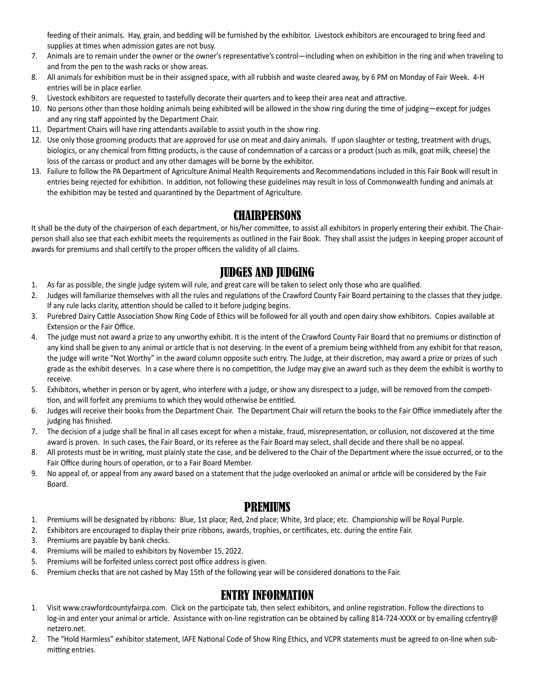feeding of their animals. Hay, grain, and bedding will be furnished by the exhibitor. Livestock exhibitors are encouraged to bring feed and supplies at times when admission gates are not busy.

- 7. Animals are to remain under the owner or the owner's representative's control—including when on exhibition in the ring and when traveling to and from the pen to the wash racks or show areas.
- 8. All animals for exhibition must be in their assigned space, with all rubbish and waste cleared away, by 6 PM on Monday of Fair Week. 4-H entries will be in place earlier.
- 9. Livestock exhibitors are requested to tastefully decorate their quarters and to keep their area neat and attractive.
- 10. No persons other than those holding animals being exhibited will be allowed in the show ring during the time of judging—except for judges and any ring staff appointed by the Department Chair.
- 11. Department Chairs will have ring attendants available to assist youth in the show ring.
- 12. Use only those grooming products that are approved for use on meat and dairy animals. If upon slaughter or testing, treatment with drugs, biologics, or any chemical from fitting products, is the cause of condemnation of a carcass or a product (such as milk, goat milk, cheese) the loss of the carcass or product and any other damages will be borne by the exhibitor.
- 13. Failure to follow the PA Department of Agriculture Animal Health Requirements and Recommendations included in this Fair Book will result in entries being rejected for exhibition. In addition, not following these guidelines may result in loss of Commonwealth funding and animals at the exhibition may be tested and quarantined by the Department of Agriculture.

### **CHAIRPERSONS**

It shall be the duty of the chairperson of each department, or his/her committee, to assist all exhibitors in properly entering their exhibit. The Chairperson shall also see that each exhibit meets the requirements as outlined in the Fair Book. They shall assist the judges in keeping proper account of awards for premiums and shall certify to the proper officers the validity of all claims.

### JUDGES AND JUDGING

- 1. As far as possible, the single judge system will rule, and great care will be taken to select only those who are qualified.
- 2. Judges will familiarize themselves with all the rules and regulations of the Crawford County Fair Board pertaining to the classes that they judge. If any rule lacks clarity, attention should be called to it before judging begins.
- 3. Purebred Dairy Cattle Association Show Ring Code of Ethics will be followed for all youth and open dairy show exhibitors. Copies available at Extension or the Fair Office.
- 4. The judge must not award a prize to any unworthy exhibit. It is the intent of the Crawford County Fair Board that no premiums or distinction of any kind shall be given to any animal or article that is not deserving. In the event of a premium being withheld from any exhibit for that reason, the judge will write "Not Worthy" in the award column opposite such entry. The Judge, at their discretion, may award a prize or prizes of such grade as the exhibit deserves. In a case where there is no competition, the Judge may give an award such as they deem the exhibit is worthy to receive.
- 5. Exhibitors, whether in person or by agent, who interfere with a judge, or show any disrespect to a judge, will be removed from the competition, and will forfeit any premiums to which they would otherwise be entitled.
- 6. Judges will receive their books from the Department Chair. The Department Chair will return the books to the Fair Office immediately after the judging has finished.
- 7. The decision of a judge shall be final in all cases except for when a mistake, fraud, misrepresentation, or collusion, not discovered at the time award is proven. In such cases, the Fair Board, or its referee as the Fair Board may select, shall decide and there shall be no appeal.
- 8. All protests must be in writing, must plainly state the case, and be delivered to the Chair of the Department where the issue occurred, or to the Fair Office during hours of operation, or to a Fair Board Member.
- 9. No appeal of, or appeal from any award based on a statement that the judge overlooked an animal or article will be considered by the Fair Board.

# PREMIUMS

- 1. Premiums will be designated by ribbons: Blue, 1st place; Red, 2nd place; White, 3rd place; etc. Championship will be Royal Purple.
- 2. Exhibitors are encouraged to display their prize ribbons, awards, trophies, or certificates, etc. during the entire Fair.
- 3. Premiums are payable by bank checks.
- 4. Premiums will be mailed to exhibitors by November 15, 2022.
- 5. Premiums will be forfeited unless correct post office address is given.
- 6. Premium checks that are not cashed by May 15th of the following year will be considered donations to the Fair.

# ENTRY INFORMATION

- 1. Visit www.crawfordcountyfairpa.com. Click on the participate tab, then select exhibitors, and online registration. Follow the directions to log-in and enter your animal or article. Assistance with on-line registration can be obtained by calling 814-724-XXXX or by emailing ccfentry@ netzero.net.
- 2. The "Hold Harmless" exhibitor statement, IAFE National Code of Show Ring Ethics, and VCPR statements must be agreed to on-line when submitting entries.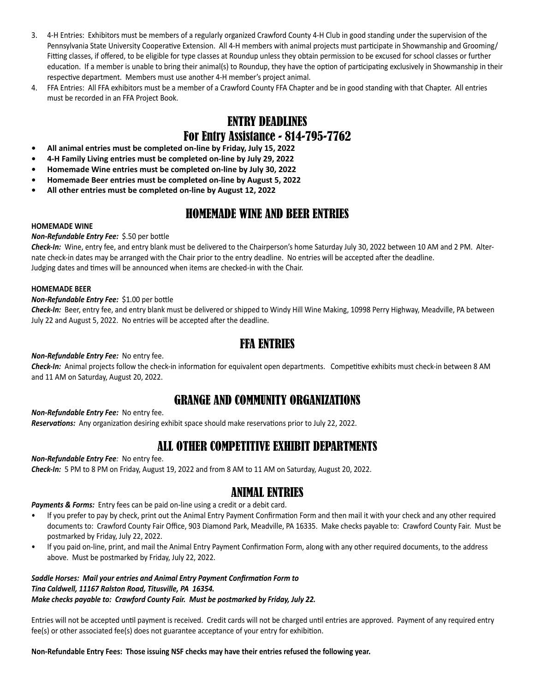- 3. 4-H Entries: Exhibitors must be members of a regularly organized Crawford County 4-H Club in good standing under the supervision of the Pennsylvania State University Cooperative Extension. All 4-H members with animal projects must participate in Showmanship and Grooming/ Fitting classes, if offered, to be eligible for type classes at Roundup unless they obtain permission to be excused for school classes or further education. If a member is unable to bring their animal(s) to Roundup, they have the option of participating exclusively in Showmanship in their respective department. Members must use another 4-H member's project animal.
- 4. FFA Entries: All FFA exhibitors must be a member of a Crawford County FFA Chapter and be in good standing with that Chapter. All entries must be recorded in an FFA Project Book.

# ENTRY DEADLINES For Entry Assistance - 814-795-7762

- **• All animal entries must be completed on-line by Friday, July 15, 2022**
- **• 4-H Family Living entries must be completed on-line by July 29, 2022**
- **• Homemade Wine entries must be completed on-line by July 30, 2022**
- **• Homemade Beer entries must be completed on-line by August 5, 2022**
- **• All other entries must be completed on-line by August 12, 2022**

# HOMEMADE WINE AND BEER ENTRIES

#### **HOMEMADE WINE**

#### *Non-Refundable Entry Fee:* \$.50 per bottle

*Check-In:* Wine, entry fee, and entry blank must be delivered to the Chairperson's home Saturday July 30, 2022 between 10 AM and 2 PM. Alternate check-in dates may be arranged with the Chair prior to the entry deadline. No entries will be accepted after the deadline. Judging dates and times will be announced when items are checked-in with the Chair.

#### **HOMEMADE BEER**

#### *Non-Refundable Entry Fee:* \$1.00 per bottle

*Check-In:* Beer, entry fee, and entry blank must be delivered or shipped to Windy Hill Wine Making, 10998 Perry Highway, Meadville, PA between July 22 and August 5, 2022. No entries will be accepted after the deadline.

### FFA ENTRIES

#### *Non-Refundable Entry Fee:* No entry fee.

*Check-In:* Animal projects follow the check-in information for equivalent open departments. Competitive exhibits must check-in between 8 AM and 11 AM on Saturday, August 20, 2022.

# GRANGE AND COMMUNITY ORGANIZATIONS

*Non-Refundable Entry Fee:* No entry fee.

*Reservations:* Any organization desiring exhibit space should make reservations prior to July 22, 2022.

### ALL OTHER COMPETITIVE EXHIBIT DEPARTMENTS

#### *Non-Refundable Entry Fee:* No entry fee. *Check-In:* 5 PM to 8 PM on Friday, August 19, 2022 and from 8 AM to 11 AM on Saturday, August 20, 2022.

### ANIMAL ENTRIES

*Payments & Forms:* Entry fees can be paid on-line using a credit or a debit card.

- If you prefer to pay by check, print out the Animal Entry Payment Confirmation Form and then mail it with your check and any other required documents to: Crawford County Fair Office, 903 Diamond Park, Meadville, PA 16335. Make checks payable to: Crawford County Fair. Must be postmarked by Friday, July 22, 2022.
- If you paid on-line, print, and mail the Animal Entry Payment Confirmation Form, along with any other required documents, to the address above. Must be postmarked by Friday, July 22, 2022.

#### *Saddle Horses: Mail your entries and Animal Entry Payment Confirmation Form to Tina Caldwell, 11167 Ralston Road, Titusville, PA 16354. Make checks payable to: Crawford County Fair. Must be postmarked by Friday, July 22.*

Entries will not be accepted until payment is received. Credit cards will not be charged until entries are approved. Payment of any required entry fee(s) or other associated fee(s) does not guarantee acceptance of your entry for exhibition.

#### **Non-Refundable Entry Fees: Those issuing NSF checks may have their entries refused the following year.**